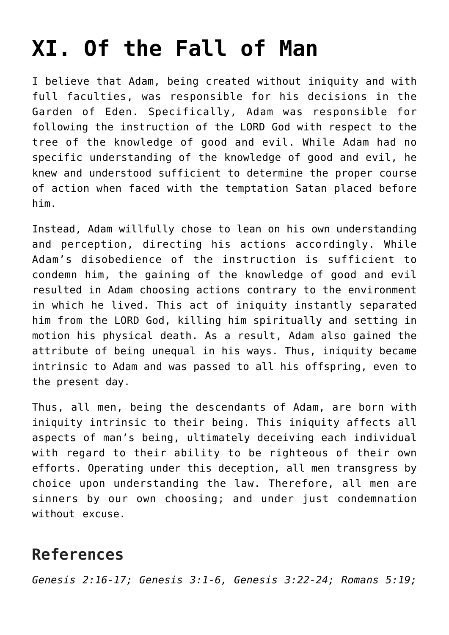## **[XI. Of the Fall of Man](https://reproachofmen.org/statement-of-faith/xi-of-the-fall-of-man/)**

I believe that Adam, being created without iniquity and with full faculties, was responsible for his decisions in the Garden of Eden. Specifically, Adam was responsible for following the instruction of the LORD God with respect to the tree of the knowledge of good and evil. While Adam had no specific understanding of the knowledge of good and evil, he knew and understood sufficient to determine the proper course of action when faced with the temptation Satan placed before him.

Instead, Adam willfully chose to lean on his own understanding and perception, directing his actions accordingly. While Adam's disobedience of the instruction is sufficient to condemn him, the gaining of the knowledge of good and evil resulted in Adam choosing actions contrary to the environment in which he lived. This act of iniquity instantly separated him from the LORD God, killing him spiritually and setting in motion his physical death. As a result, Adam also gained the attribute of being unequal in his ways. Thus, iniquity became intrinsic to Adam and was passed to all his offspring, even to the present day.

Thus, all men, being the descendants of Adam, are born with iniquity intrinsic to their being. This iniquity affects all aspects of man's being, ultimately deceiving each individual with regard to their ability to be righteous of their own efforts. Operating under this deception, all men transgress by choice upon understanding the law. Therefore, all men are sinners by our own choosing; and under just condemnation without excuse.

## **References**

*Genesis 2:16-17; Genesis 3:1-6, Genesis 3:22-24; Romans 5:19;*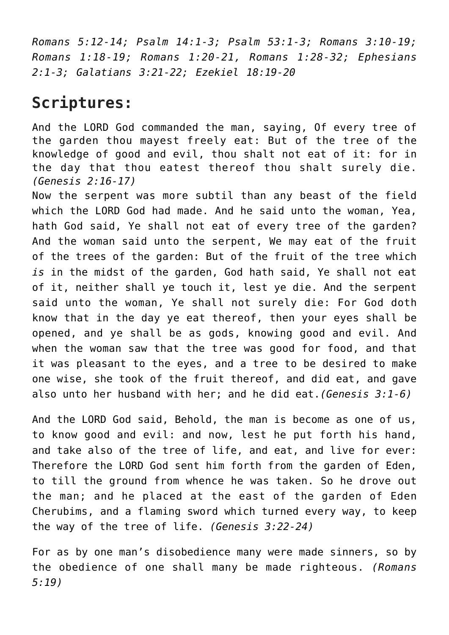*Romans 5:12-14; Psalm 14:1-3; Psalm 53:1-3; Romans 3:10-19; Romans 1:18-19; Romans 1:20-21, Romans 1:28-32; Ephesians 2:1-3; Galatians 3:21-22; Ezekiel 18:19-20*

## **Scriptures:**

And the LORD God commanded the man, saying, Of every tree of the garden thou mayest freely eat: But of the tree of the knowledge of good and evil, thou shalt not eat of it: for in the day that thou eatest thereof thou shalt surely die. *(Genesis 2:16-17)*

Now the serpent was more subtil than any beast of the field which the LORD God had made. And he said unto the woman, Yea, hath God said, Ye shall not eat of every tree of the garden? And the woman said unto the serpent, We may eat of the fruit of the trees of the garden: But of the fruit of the tree which *is* in the midst of the garden, God hath said, Ye shall not eat of it, neither shall ye touch it, lest ye die. And the serpent said unto the woman, Ye shall not surely die: For God doth know that in the day ye eat thereof, then your eyes shall be opened, and ye shall be as gods, knowing good and evil. And when the woman saw that the tree was good for food, and that it was pleasant to the eyes, and a tree to be desired to make one wise, she took of the fruit thereof, and did eat, and gave also unto her husband with her; and he did eat.*(Genesis 3:1-6)*

And the LORD God said, Behold, the man is become as one of us, to know good and evil: and now, lest he put forth his hand, and take also of the tree of life, and eat, and live for ever: Therefore the LORD God sent him forth from the garden of Eden, to till the ground from whence he was taken. So he drove out the man; and he placed at the east of the garden of Eden Cherubims, and a flaming sword which turned every way, to keep the way of the tree of life. *(Genesis 3:22-24)*

For as by one man's disobedience many were made sinners, so by the obedience of one shall many be made righteous. *(Romans 5:19)*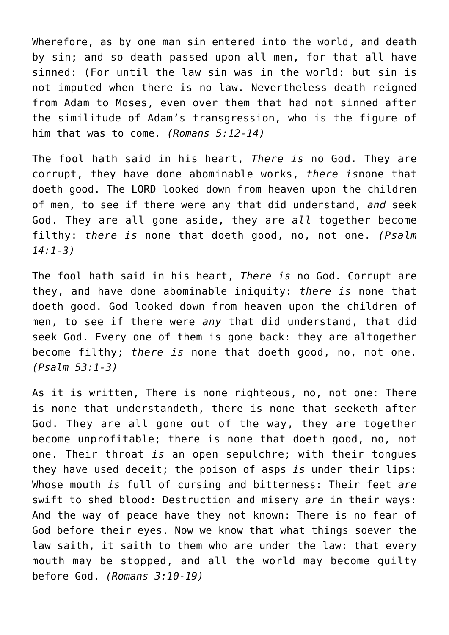Wherefore, as by one man sin entered into the world, and death by sin; and so death passed upon all men, for that all have sinned: (For until the law sin was in the world: but sin is not imputed when there is no law. Nevertheless death reigned from Adam to Moses, even over them that had not sinned after the similitude of Adam's transgression, who is the figure of him that was to come. *(Romans 5:12-14)*

The fool hath said in his heart, *There is* no God. They are corrupt, they have done abominable works, *there is*none that doeth good. The LORD looked down from heaven upon the children of men, to see if there were any that did understand, *and* seek God. They are all gone aside, they are *all* together become filthy: *there is* none that doeth good, no, not one. *(Psalm 14:1-3)*

The fool hath said in his heart, *There is* no God. Corrupt are they, and have done abominable iniquity: *there is* none that doeth good. God looked down from heaven upon the children of men, to see if there were *any* that did understand, that did seek God. Every one of them is gone back: they are altogether become filthy; *there is* none that doeth good, no, not one. *(Psalm 53:1-3)*

As it is written, There is none righteous, no, not one: There is none that understandeth, there is none that seeketh after God. They are all gone out of the way, they are together become unprofitable; there is none that doeth good, no, not one. Their throat *is* an open sepulchre; with their tongues they have used deceit; the poison of asps *is* under their lips: Whose mouth *is* full of cursing and bitterness: Their feet *are* swift to shed blood: Destruction and misery *are* in their ways: And the way of peace have they not known: There is no fear of God before their eyes. Now we know that what things soever the law saith, it saith to them who are under the law: that every mouth may be stopped, and all the world may become guilty before God. *(Romans 3:10-19)*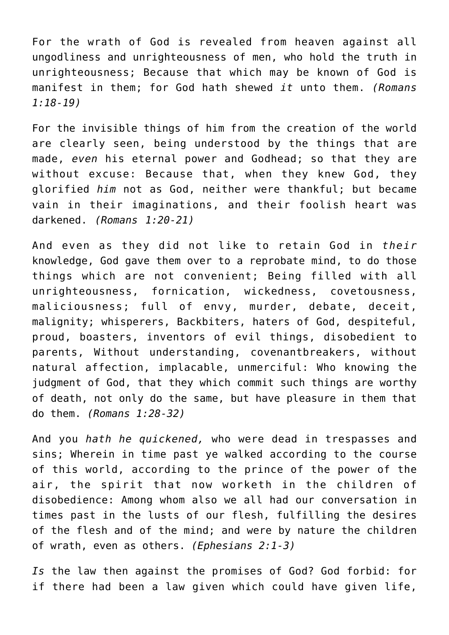For the wrath of God is revealed from heaven against all ungodliness and unrighteousness of men, who hold the truth in unrighteousness; Because that which may be known of God is manifest in them; for God hath shewed *it* unto them. *(Romans 1:18-19)*

For the invisible things of him from the creation of the world are clearly seen, being understood by the things that are made, *even* his eternal power and Godhead; so that they are without excuse: Because that, when they knew God, they glorified *him* not as God, neither were thankful; but became vain in their imaginations, and their foolish heart was darkened. *(Romans 1:20-21)*

And even as they did not like to retain God in *their* knowledge, God gave them over to a reprobate mind, to do those things which are not convenient; Being filled with all unrighteousness, fornication, wickedness, covetousness, maliciousness; full of envy, murder, debate, deceit, malignity; whisperers, Backbiters, haters of God, despiteful, proud, boasters, inventors of evil things, disobedient to parents, Without understanding, covenantbreakers, without natural affection, implacable, unmerciful: Who knowing the judgment of God, that they which commit such things are worthy of death, not only do the same, but have pleasure in them that do them. *(Romans 1:28-32)*

And you *hath he quickened,* who were dead in trespasses and sins; Wherein in time past ye walked according to the course of this world, according to the prince of the power of the air, the spirit that now worketh in the children of disobedience: Among whom also we all had our conversation in times past in the lusts of our flesh, fulfilling the desires of the flesh and of the mind; and were by nature the children of wrath, even as others. *(Ephesians 2:1-3)*

*Is* the law then against the promises of God? God forbid: for if there had been a law given which could have given life,